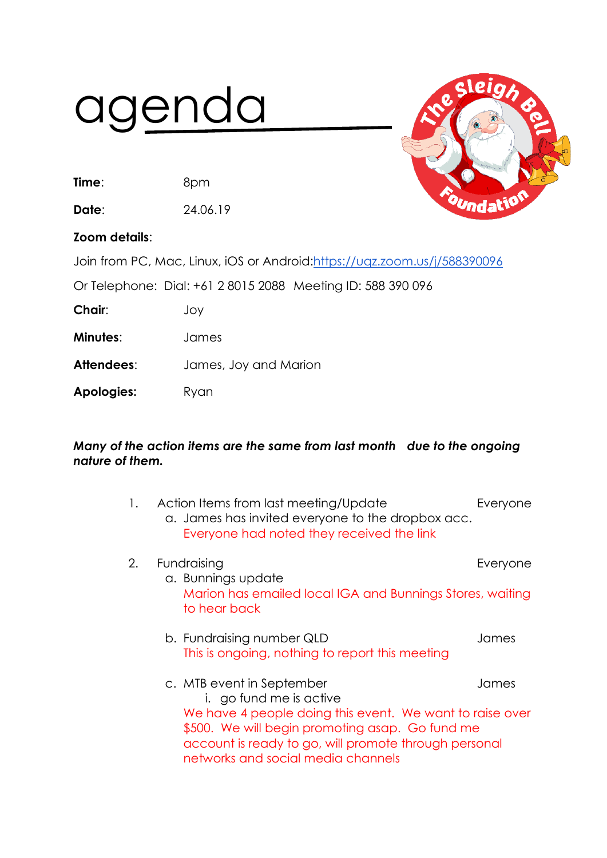## agenda

**Time**: 8pm

**Date**: 24.06.19



## **Zoom details**:

Join from PC, Mac, Linux, iOS or Android[:https://uqz.zoom.us/j/588390096](https://uqz.zoom.us/j/588390096)

Or Telephone: Dial: +61 2 8015 2088 Meeting ID: 588 390 096

**Chair**: Joy

**Minutes**: James

**Attendees**: James, Joy and Marion

Apologies: Ryan

## *Many of the action items are the same from last month due to the ongoing nature of them.*

| 1. | Action Items from last meeting/Update<br>a. James has invited everyone to the dropbox acc.<br>Everyone had noted they received the link                             | Everyone |
|----|---------------------------------------------------------------------------------------------------------------------------------------------------------------------|----------|
| 2. | Fundraising<br>a. Bunnings update                                                                                                                                   | Everyone |
|    | Marion has emailed local IGA and Bunnings Stores, waiting<br>to hear back                                                                                           |          |
|    | b. Fundraising number QLD<br>This is ongoing, nothing to report this meeting                                                                                        | James    |
|    | c. MTB event in September<br>i. go fund me is active<br>We have 4 people doing this event. We want to raise over<br>\$500. We will begin promoting asap. Go fund me | James    |
|    | account is ready to go, will promote through personal<br>networks and social media channels                                                                         |          |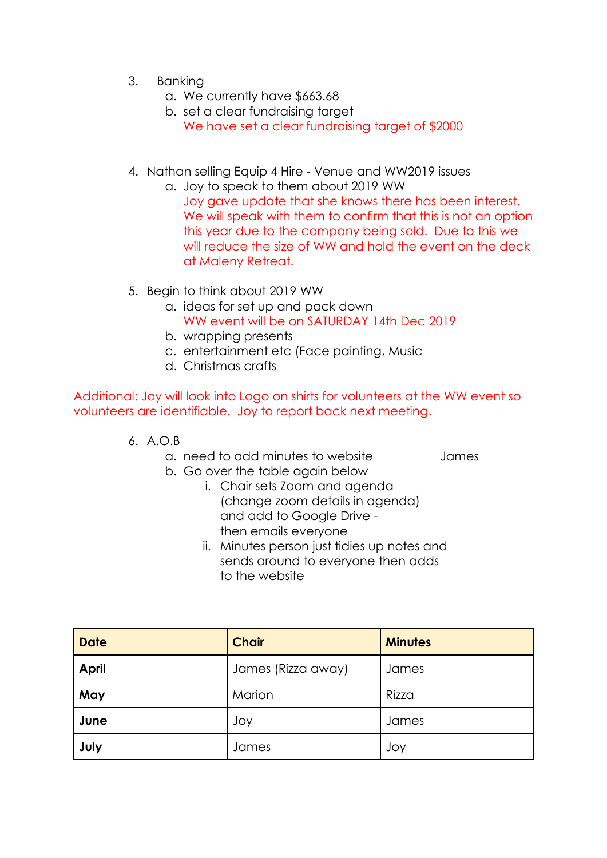- 3. Banking
	- a. We currently have \$663.68
	- b. set a clear fundraising target We have set a clear fundraising target of \$2000
- 4. Nathan selling Equip 4 Hire Venue and WW2019 issues
	- a. Joy to speak to them about 2019 WW Joy gave update that she knows there has been interest. We will speak with them to confirm that this is not an option this year due to the company being sold. Due to this we will reduce the size of WW and hold the event on the deck at Maleny Retreat.
- 5. Begin to think about 2019 WW
	- a. ideas for set up and pack down WW event will be on SATURDAY 14th Dec 2019
	- b. wrapping presents
	- c. entertainment etc (Face painting, Music
	- d. Christmas crafts

Additional: Joy will look into Logo on shirts for volunteers at the WW event so volunteers are identifiable. Joy to report back next meeting.

- 6. A.O.B
	- a. need to add minutes to website James
	- b. Go over the table again below
		- i. Chair sets Zoom and agenda (change zoom details in agenda) and add to Google Drive then emails everyone
		- ii. Minutes person just tidies up notes and sends around to everyone then adds to the website

| <b>Date</b>  | <b>Chair</b>       | <b>Minutes</b> |
|--------------|--------------------|----------------|
| <b>April</b> | James (Rizza away) | James          |
| May          | Marion             | Rizza          |
| June         | Joy                | James          |
| July         | James              | Joy            |